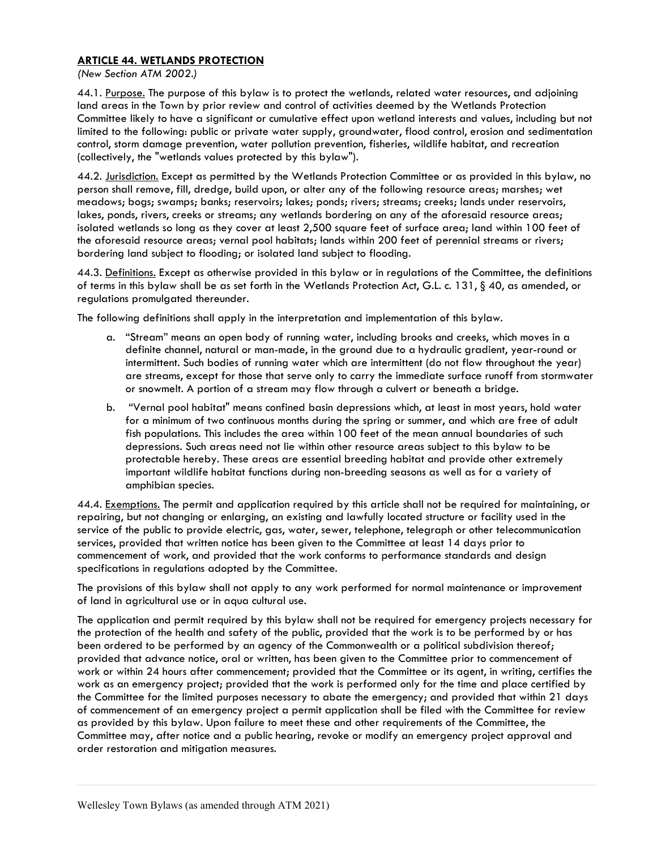## ARTICLE 44. WETLANDS PROTECTION

(New Section ATM 2002.)

44.1. Purpose. The purpose of this bylaw is to protect the wetlands, related water resources, and adjoining land areas in the Town by prior review and control of activities deemed by the Wetlands Protection Committee likely to have a significant or cumulative effect upon wetland interests and values, including but not limited to the following: public or private water supply, groundwater, flood control, erosion and sedimentation control, storm damage prevention, water pollution prevention, fisheries, wildlife habitat, and recreation (collectively, the "wetlands values protected by this bylaw").

44.2. Jurisdiction. Except as permitted by the Wetlands Protection Committee or as provided in this bylaw, no person shall remove, fill, dredge, build upon, or alter any of the following resource areas; marshes; wet meadows; bogs; swamps; banks; reservoirs; lakes; ponds; rivers; streams; creeks; lands under reservoirs, lakes, ponds, rivers, creeks or streams; any wetlands bordering on any of the aforesaid resource areas; isolated wetlands so long as they cover at least 2,500 square feet of surface area; land within 100 feet of the aforesaid resource areas; vernal pool habitats; lands within 200 feet of perennial streams or rivers; bordering land subject to flooding; or isolated land subject to flooding.

44.3. Definitions. Except as otherwise provided in this bylaw or in regulations of the Committee, the definitions of terms in this bylaw shall be as set forth in the Wetlands Protection Act, G.L. c. 131, § 40, as amended, or regulations promulgated thereunder.

The following definitions shall apply in the interpretation and implementation of this bylaw.

- a. "Stream" means an open body of running water, including brooks and creeks, which moves in a definite channel, natural or man-made, in the ground due to a hydraulic gradient, year-round or intermittent. Such bodies of running water which are intermittent (do not flow throughout the year) are streams, except for those that serve only to carry the immediate surface runoff from stormwater or snowmelt. A portion of a stream may flow through a culvert or beneath a bridge.
- b. "Vernal pool habitat" means confined basin depressions which, at least in most years, hold water for a minimum of two continuous months during the spring or summer, and which are free of adult fish populations. This includes the area within 100 feet of the mean annual boundaries of such depressions. Such areas need not lie within other resource areas subject to this bylaw to be protectable hereby. These areas are essential breeding habitat and provide other extremely important wildlife habitat functions during non-breeding seasons as well as for a variety of amphibian species.

44.4. Exemptions. The permit and application required by this article shall not be required for maintaining, or repairing, but not changing or enlarging, an existing and lawfully located structure or facility used in the service of the public to provide electric, gas, water, sewer, telephone, telegraph or other telecommunication services, provided that written notice has been given to the Committee at least 14 days prior to commencement of work, and provided that the work conforms to performance standards and design specifications in regulations adopted by the Committee.

The provisions of this bylaw shall not apply to any work performed for normal maintenance or improvement of land in agricultural use or in aqua cultural use.

The application and permit required by this bylaw shall not be required for emergency projects necessary for the protection of the health and safety of the public, provided that the work is to be performed by or has been ordered to be performed by an agency of the Commonwealth or a political subdivision thereof; provided that advance notice, oral or written, has been given to the Committee prior to commencement of work or within 24 hours after commencement; provided that the Committee or its agent, in writing, certifies the work as an emergency project; provided that the work is performed only for the time and place certified by the Committee for the limited purposes necessary to abate the emergency; and provided that within 21 days of commencement of an emergency project a permit application shall be filed with the Committee for review as provided by this bylaw. Upon failure to meet these and other requirements of the Committee, the Committee may, after notice and a public hearing, revoke or modify an emergency project approval and order restoration and mitigation measures.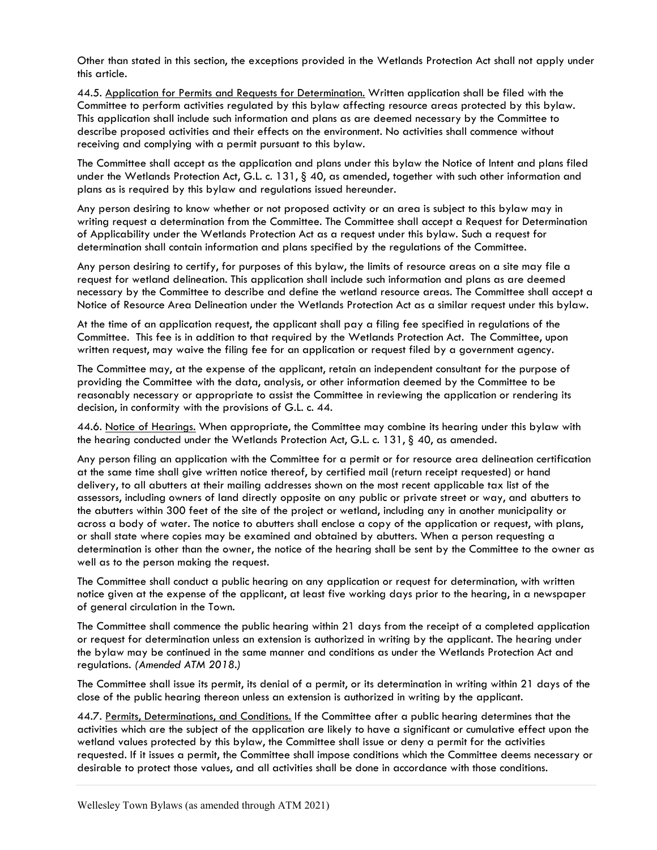Other than stated in this section, the exceptions provided in the Wetlands Protection Act shall not apply under this article.

44.5. Application for Permits and Requests for Determination. Written application shall be filed with the Committee to perform activities regulated by this bylaw affecting resource areas protected by this bylaw. This application shall include such information and plans as are deemed necessary by the Committee to describe proposed activities and their effects on the environment. No activities shall commence without receiving and complying with a permit pursuant to this bylaw.

The Committee shall accept as the application and plans under this bylaw the Notice of Intent and plans filed under the Wetlands Protection Act, G.L. c. 131, § 40, as amended, together with such other information and plans as is required by this bylaw and regulations issued hereunder.

Any person desiring to know whether or not proposed activity or an area is subject to this bylaw may in writing request a determination from the Committee. The Committee shall accept a Request for Determination of Applicability under the Wetlands Protection Act as a request under this bylaw. Such a request for determination shall contain information and plans specified by the regulations of the Committee.

Any person desiring to certify, for purposes of this bylaw, the limits of resource areas on a site may file a request for wetland delineation. This application shall include such information and plans as are deemed necessary by the Committee to describe and define the wetland resource areas. The Committee shall accept a Notice of Resource Area Delineation under the Wetlands Protection Act as a similar request under this bylaw.

At the time of an application request, the applicant shall pay a filing fee specified in regulations of the Committee. This fee is in addition to that required by the Wetlands Protection Act. The Committee, upon written request, may waive the filing fee for an application or request filed by a government agency.

The Committee may, at the expense of the applicant, retain an independent consultant for the purpose of providing the Committee with the data, analysis, or other information deemed by the Committee to be reasonably necessary or appropriate to assist the Committee in reviewing the application or rendering its decision, in conformity with the provisions of G.L. c. 44.

44.6. Notice of Hearings. When appropriate, the Committee may combine its hearing under this bylaw with the hearing conducted under the Wetlands Protection Act, G.L. c. 131, § 40, as amended.

Any person filing an application with the Committee for a permit or for resource area delineation certification at the same time shall give written notice thereof, by certified mail (return receipt requested) or hand delivery, to all abutters at their mailing addresses shown on the most recent applicable tax list of the assessors, including owners of land directly opposite on any public or private street or way, and abutters to the abutters within 300 feet of the site of the project or wetland, including any in another municipality or across a body of water. The notice to abutters shall enclose a copy of the application or request, with plans, or shall state where copies may be examined and obtained by abutters. When a person requesting a determination is other than the owner, the notice of the hearing shall be sent by the Committee to the owner as well as to the person making the request.

The Committee shall conduct a public hearing on any application or request for determination, with written notice given at the expense of the applicant, at least five working days prior to the hearing, in a newspaper of general circulation in the Town.

The Committee shall commence the public hearing within 21 days from the receipt of a completed application or request for determination unless an extension is authorized in writing by the applicant. The hearing under the bylaw may be continued in the same manner and conditions as under the Wetlands Protection Act and regulations. (Amended ATM 2018.)

The Committee shall issue its permit, its denial of a permit, or its determination in writing within 21 days of the close of the public hearing thereon unless an extension is authorized in writing by the applicant.

44.7. Permits, Determinations, and Conditions. If the Committee after a public hearing determines that the activities which are the subject of the application are likely to have a significant or cumulative effect upon the wetland values protected by this bylaw, the Committee shall issue or deny a permit for the activities requested. If it issues a permit, the Committee shall impose conditions which the Committee deems necessary or desirable to protect those values, and all activities shall be done in accordance with those conditions.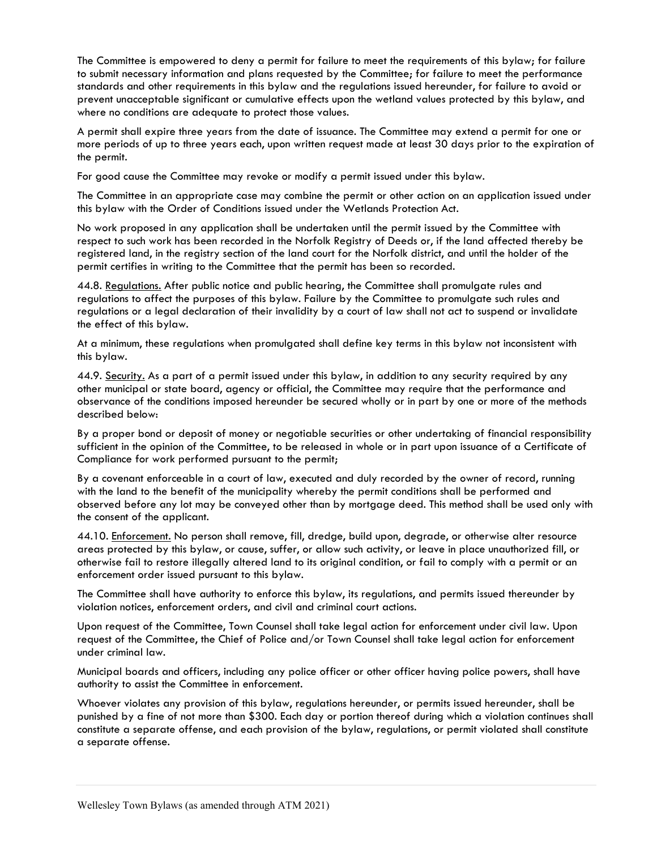The Committee is empowered to deny a permit for failure to meet the requirements of this bylaw; for failure to submit necessary information and plans requested by the Committee; for failure to meet the performance standards and other requirements in this bylaw and the regulations issued hereunder, for failure to avoid or prevent unacceptable significant or cumulative effects upon the wetland values protected by this bylaw, and where no conditions are adequate to protect those values.

A permit shall expire three years from the date of issuance. The Committee may extend a permit for one or more periods of up to three years each, upon written request made at least 30 days prior to the expiration of the permit.

For good cause the Committee may revoke or modify a permit issued under this bylaw.

The Committee in an appropriate case may combine the permit or other action on an application issued under this bylaw with the Order of Conditions issued under the Wetlands Protection Act.

No work proposed in any application shall be undertaken until the permit issued by the Committee with respect to such work has been recorded in the Norfolk Registry of Deeds or, if the land affected thereby be registered land, in the registry section of the land court for the Norfolk district, and until the holder of the permit certifies in writing to the Committee that the permit has been so recorded.

44.8. Regulations. After public notice and public hearing, the Committee shall promulgate rules and regulations to affect the purposes of this bylaw. Failure by the Committee to promulgate such rules and regulations or a legal declaration of their invalidity by a court of law shall not act to suspend or invalidate the effect of this bylaw.

At a minimum, these regulations when promulgated shall define key terms in this bylaw not inconsistent with this bylaw.

44.9. Security. As a part of a permit issued under this bylaw, in addition to any security required by any other municipal or state board, agency or official, the Committee may require that the performance and observance of the conditions imposed hereunder be secured wholly or in part by one or more of the methods described below:

By a proper bond or deposit of money or negotiable securities or other undertaking of financial responsibility sufficient in the opinion of the Committee, to be released in whole or in part upon issuance of a Certificate of Compliance for work performed pursuant to the permit;

By a covenant enforceable in a court of law, executed and duly recorded by the owner of record, running with the land to the benefit of the municipality whereby the permit conditions shall be performed and observed before any lot may be conveyed other than by mortgage deed. This method shall be used only with the consent of the applicant.

44.10. Enforcement. No person shall remove, fill, dredge, build upon, degrade, or otherwise alter resource areas protected by this bylaw, or cause, suffer, or allow such activity, or leave in place unauthorized fill, or otherwise fail to restore illegally altered land to its original condition, or fail to comply with a permit or an enforcement order issued pursuant to this bylaw.

The Committee shall have authority to enforce this bylaw, its regulations, and permits issued thereunder by violation notices, enforcement orders, and civil and criminal court actions.

Upon request of the Committee, Town Counsel shall take legal action for enforcement under civil law. Upon request of the Committee, the Chief of Police and/or Town Counsel shall take legal action for enforcement under criminal law.

Municipal boards and officers, including any police officer or other officer having police powers, shall have authority to assist the Committee in enforcement.

Whoever violates any provision of this bylaw, regulations hereunder, or permits issued hereunder, shall be punished by a fine of not more than \$300. Each day or portion thereof during which a violation continues shall constitute a separate offense, and each provision of the bylaw, regulations, or permit violated shall constitute a separate offense.